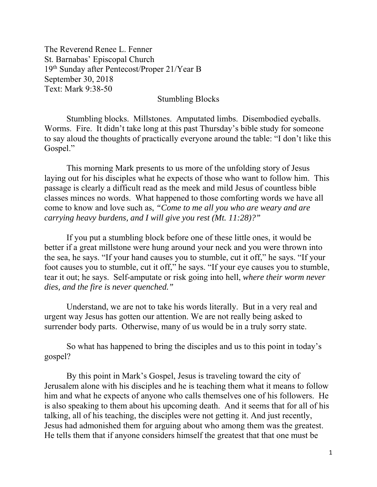The Reverend Renee L. Fenner St. Barnabas' Episcopal Church 19th Sunday after Pentecost/Proper 21/Year B September 30, 2018 Text: Mark 9:38-50

Stumbling Blocks

Stumbling blocks. Millstones. Amputated limbs. Disembodied eyeballs. Worms. Fire. It didn't take long at this past Thursday's bible study for someone to say aloud the thoughts of practically everyone around the table: "I don't like this Gospel."

This morning Mark presents to us more of the unfolding story of Jesus laying out for his disciples what he expects of those who want to follow him. This passage is clearly a difficult read as the meek and mild Jesus of countless bible classes minces no words. What happened to those comforting words we have all come to know and love such as, *"Come to me all you who are weary and are carrying heavy burdens, and I will give you rest (Mt. 11:28)?"*

If you put a stumbling block before one of these little ones, it would be better if a great millstone were hung around your neck and you were thrown into the sea, he says. "If your hand causes you to stumble, cut it off," he says. "If your foot causes you to stumble, cut it off," he says. "If your eye causes you to stumble, tear it out; he says. Self-amputate or risk going into hell, *where their worm never dies, and the fire is never quenched."* 

Understand, we are not to take his words literally. But in a very real and urgent way Jesus has gotten our attention. We are not really being asked to surrender body parts. Otherwise, many of us would be in a truly sorry state.

So what has happened to bring the disciples and us to this point in today's gospel?

By this point in Mark's Gospel, Jesus is traveling toward the city of Jerusalem alone with his disciples and he is teaching them what it means to follow him and what he expects of anyone who calls themselves one of his followers. He is also speaking to them about his upcoming death. And it seems that for all of his talking, all of his teaching, the disciples were not getting it. And just recently, Jesus had admonished them for arguing about who among them was the greatest. He tells them that if anyone considers himself the greatest that that one must be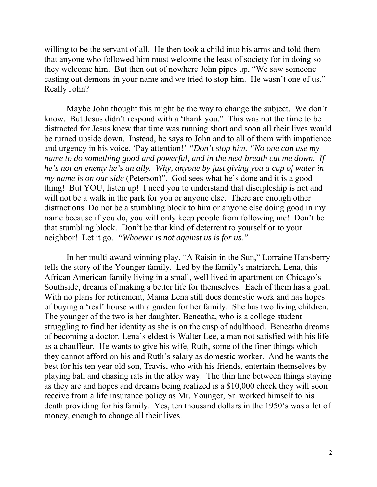willing to be the servant of all. He then took a child into his arms and told them that anyone who followed him must welcome the least of society for in doing so they welcome him. But then out of nowhere John pipes up, "We saw someone casting out demons in your name and we tried to stop him. He wasn't one of us." Really John?

Maybe John thought this might be the way to change the subject. We don't know. But Jesus didn't respond with a 'thank you." This was not the time to be distracted for Jesus knew that time was running short and soon all their lives would be turned upside down. Instead, he says to John and to all of them with impatience and urgency in his voice, 'Pay attention!' *"Don't stop him. "No one can use my name to do something good and powerful, and in the next breath cut me down. If he's not an enemy he's an ally. Why, anyone by just giving you a cup of water in my name is on our side* (Peterson)". God sees what he's done and it is a good thing! But YOU, listen up! I need you to understand that discipleship is not and will not be a walk in the park for you or anyone else. There are enough other distractions. Do not be a stumbling block to him or anyone else doing good in my name because if you do, you will only keep people from following me! Don't be that stumbling block. Don't be that kind of deterrent to yourself or to your neighbor! Let it go. *"Whoever is not against us is for us."*

In her multi-award winning play, "A Raisin in the Sun," Lorraine Hansberry tells the story of the Younger family. Led by the family's matriarch, Lena, this African American family living in a small, well lived in apartment on Chicago's Southside, dreams of making a better life for themselves. Each of them has a goal. With no plans for retirement, Mama Lena still does domestic work and has hopes of buying a 'real' house with a garden for her family. She has two living children. The younger of the two is her daughter, Beneatha, who is a college student struggling to find her identity as she is on the cusp of adulthood. Beneatha dreams of becoming a doctor. Lena's eldest is Walter Lee, a man not satisfied with his life as a chauffeur. He wants to give his wife, Ruth, some of the finer things which they cannot afford on his and Ruth's salary as domestic worker. And he wants the best for his ten year old son, Travis, who with his friends, entertain themselves by playing ball and chasing rats in the alley way. The thin line between things staying as they are and hopes and dreams being realized is a \$10,000 check they will soon receive from a life insurance policy as Mr. Younger, Sr. worked himself to his death providing for his family. Yes, ten thousand dollars in the 1950's was a lot of money, enough to change all their lives.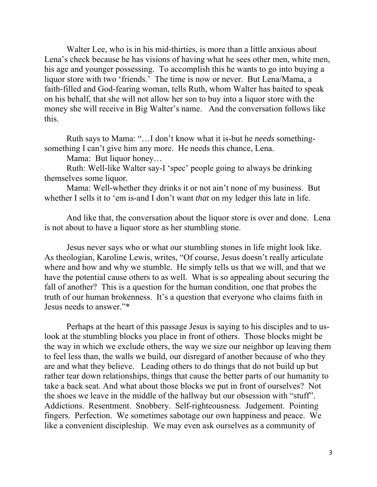Walter Lee, who is in his mid-thirties, is more than a little anxious about Lena's check because he has visions of having what he sees other men, white men, his age and younger possessing. To accomplish this he wants to go into buying a liquor store with two 'friends.' The time is now or never. But Lena/Mama, a faith-filled and God-fearing woman, tells Ruth, whom Walter has baited to speak on his behalf, that she will not allow her son to buy into a liquor store with the money she will receive in Big Walter's name. And the conversation follows like this.

Ruth says to Mama: "…I don't know what it is-but he *needs* somethingsomething I can't give him any more. He needs this chance, Lena.

Mama: But liquor honey…

Ruth: Well-like Walter say-I 'spec' people going to always be drinking themselves some liquor.

Mama: Well-whether they drinks it or not ain't none of my business. But whether I sells it to 'em is-and I don't want *that* on my ledger this late in life.

And like that, the conversation about the liquor store is over and done. Lena is not about to have a liquor store as her stumbling stone.

Jesus never says who or what our stumbling stones in life might look like. As theologian, Karoline Lewis, writes, "Of course, Jesus doesn't really articulate where and how and why we stumble. He simply tells us that we will, and that we have the potential cause others to as well. What is so appealing about securing the fall of another? This is a question for the human condition, one that probes the truth of our human brokenness. It's a question that everyone who claims faith in Jesus needs to answer."\*

Perhaps at the heart of this passage Jesus is saying to his disciples and to uslook at the stumbling blocks you place in front of others. Those blocks might be the way in which we exclude others, the way we size our neighbor up leaving them to feel less than, the walls we build, our disregard of another because of who they are and what they believe. Leading others to do things that do not build up but rather tear down relationships, things that cause the better parts of our humanity to take a back seat. And what about those blocks we put in front of ourselves? Not the shoes we leave in the middle of the hallway but our obsession with "stuff". Addictions. Resentment. Snobbery. Self-righteousness. Judgement. Pointing fingers. Perfection. We sometimes sabotage our own happiness and peace. We like a convenient discipleship. We may even ask ourselves as a community of